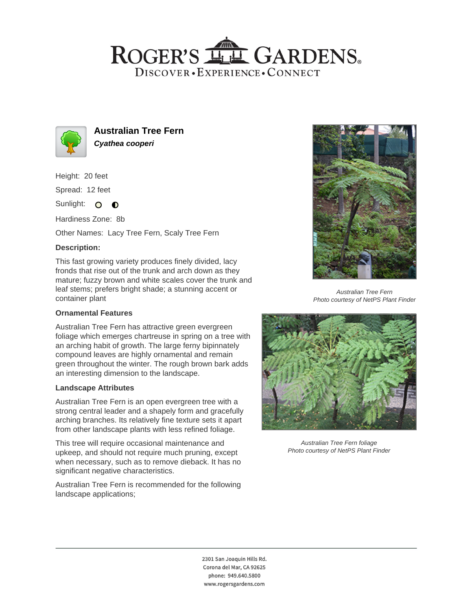## ROGER'S LL GARDENS. DISCOVER · EXPERIENCE · CONNECT



**Australian Tree Fern Cyathea cooperi**

Height: 20 feet

Spread: 12 feet

Sunlight: O **O** 

Hardiness Zone: 8b

Other Names: Lacy Tree Fern, Scaly Tree Fern

### **Description:**

This fast growing variety produces finely divided, lacy fronds that rise out of the trunk and arch down as they mature; fuzzy brown and white scales cover the trunk and leaf stems; prefers bright shade; a stunning accent or container plant

#### **Ornamental Features**

Australian Tree Fern has attractive green evergreen foliage which emerges chartreuse in spring on a tree with an arching habit of growth. The large ferny bipinnately compound leaves are highly ornamental and remain green throughout the winter. The rough brown bark adds an interesting dimension to the landscape.

#### **Landscape Attributes**

Australian Tree Fern is an open evergreen tree with a strong central leader and a shapely form and gracefully arching branches. Its relatively fine texture sets it apart from other landscape plants with less refined foliage.

This tree will require occasional maintenance and upkeep, and should not require much pruning, except when necessary, such as to remove dieback. It has no significant negative characteristics.

Australian Tree Fern is recommended for the following landscape applications;



Australian Tree Fern Photo courtesy of NetPS Plant Finder



Australian Tree Fern foliage Photo courtesy of NetPS Plant Finder

2301 San Joaquin Hills Rd. Corona del Mar, CA 92625 phone: 949.640.5800 www.rogersgardens.com